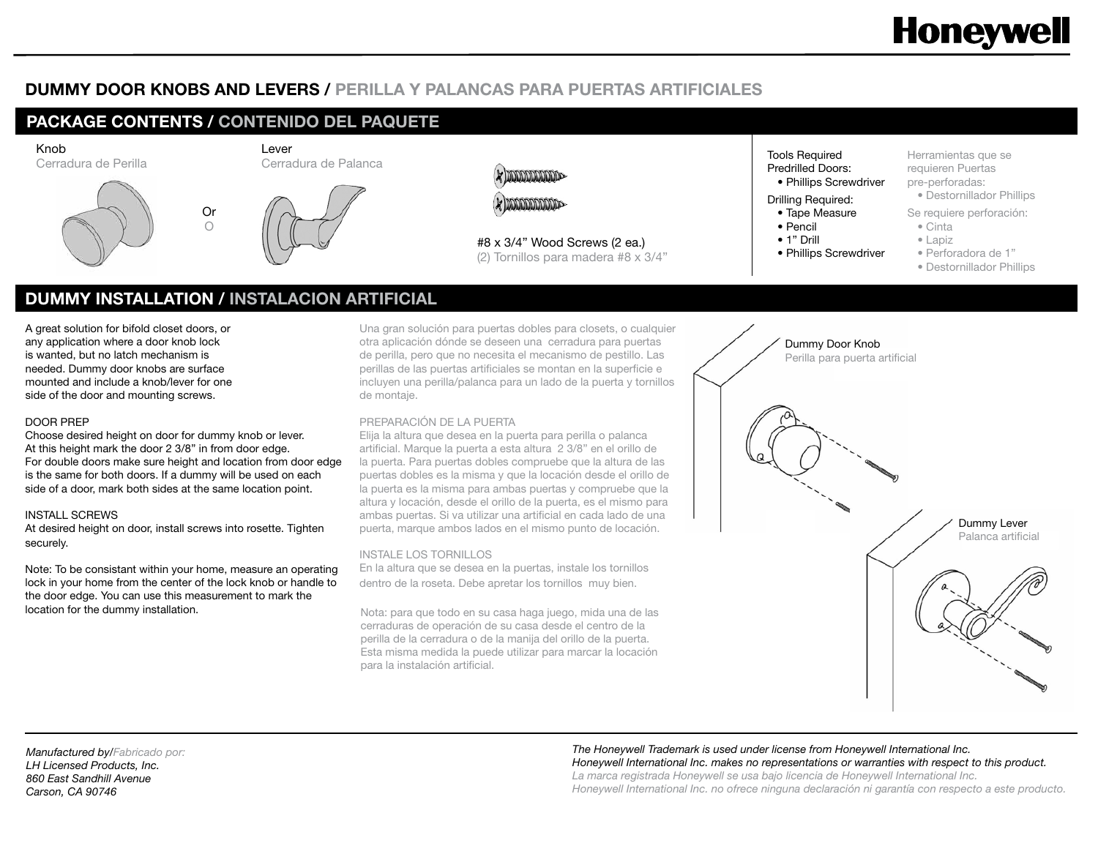# **Honeywell**

# **DUMMY DOOR KNOBS AND LEVERS / PERILLA Y PALANCAS PARA PUERTAS ARTIFICIALES**

# **PACKAGE CONTENTS / CONTENIDO DEL PAQUETE** Knob Lever Cerradura de Perilla Cerradura de Palanca **MODODODODO MARCHARD CONTROL** Or  $\bigcirc$ #8 x 3/4" Wood Screws (2 ea.) (2) Tornillos para madera #8 x 3/4"

Tools Required Predrilled Doors: • Phillips Screwdriver

- Drilling Required:
- Tape Measure
- Pencil
- 1" Drill
- Phillips Screwdriver

Herramientas que se requieren Puertas pre-perforadas:

- Destornillador Phillips
- Se requiere perforación:
	- Cinta
	- Lapiz
- Perforadora de 1"
	- Destornillador Phillips

# **DUMMY INSTALLATION / INSTALACION ARTIFICIAL**

A great solution for bifold closet doors, or any application where a door knob lock is wanted, but no latch mechanism is needed. Dummy door knobs are surface mounted and include a knob/lever for one side of the door and mounting screws.

### DOOR PREP

Choose desired height on door for dummy knob or lever. At this height mark the door 2 3/8" in from door edge. For double doors make sure height and location from door edge is the same for both doors. If a dummy will be used on each side of a door, mark both sides at the same location point.

# INSTALL SCREWS

At desired height on door, install screws into rosette. Tighten securely.

Note: To be consistant within your home, measure an operating lock in your home from the center of the lock knob or handle to the door edge. You can use this measurement to mark the **location for the dummy installation.** Nota: para que todo en su casa haga juego, mida una de las

Una gran solución para puertas dobles para closets, o cualquier otra aplicación dónde se deseen una cerradura para puertas de perilla, pero que no necesita el mecanismo de pestillo. Las perillas de las puertas artificiales se montan en la superficie e incluyen una perilla/palanca para un lado de la puerta y tornillos de montaje.

# PREPARACIÓN DE LA PUERTA

Elija la altura que desea en la puerta para perilla o palanca artificial. Marque la puerta a esta altura 2 3/8" en el orillo de la puerta. Para puertas dobles compruebe que la altura de las puertas dobles es la misma y que la locación desde el orillo de la puerta es la misma para ambas puertas y compruebe que la altura y locación, desde el orillo de la puerta, es el mismo para ambas puertas. Si va utilizar una artificial en cada lado de una puerta, marque ambos lados en el mismo punto de locación.

# INSTALE LOS TORNILLOS

En la altura que se desea en la puertas, instale los tornillos dentro de la roseta. Debe apretar los tornillos muy bien.

cerraduras de operación de su casa desde el centro de la perilla de la cerradura o de la manija del orillo de la puerta. Esta misma medida la puede utilizar para marcar la locación para la instalación artificial.



*Manufactured by/Fabricado por: LH Licensed Products, Inc. 860 East Sandhill Avenue Carson, CA 90746*

### *The Honeywell Trademark is used under license from Honeywell International Inc. Honeywell International Inc. makes no representations or warranties with respect to this product. La marca registrada Honeywell se usa bajo licencia de Honeywell International Inc.*

*Honeywell International Inc. no ofrece ninguna declaración ni garantía con respecto a este producto.*